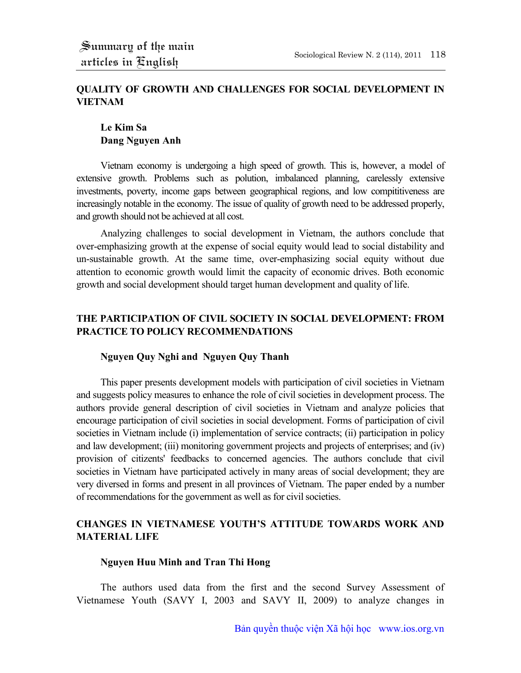# **QUALITY OF GROWTH AND CHALLENGES FOR SOCIAL DEVELOPMENT IN VIETNAM**

## **Le Kim Sa Dang Nguyen Anh**

Vietnam economy is undergoing a high speed of growth. This is, however, a model of extensive growth. Problems such as polution, imbalanced planning, carelessly extensive investments, poverty, income gaps between geographical regions, and low compititiveness are increasingly notable in the economy. The issue of quality of growth need to be addressed properly, and growth should not be achieved at all cost.

Analyzing challenges to social development in Vietnam, the authors conclude that over-emphasizing growth at the expense of social equity would lead to social distability and un-sustainable growth. At the same time, over-emphasizing social equity without due attention to economic growth would limit the capacity of economic drives. Both economic growth and social development should target human development and quality of life.

## **THE PARTICIPATION OF CIVIL SOCIETY IN SOCIAL DEVELOPMENT: FROM PRACTICE TO POLICY RECOMMENDATIONS**

#### **Nguyen Quy Nghi and Nguyen Quy Thanh**

This paper presents development models with participation of civil societies in Vietnam and suggests policy measures to enhance the role of civil societies in development process. The authors provide general description of civil societies in Vietnam and analyze policies that encourage participation of civil societies in social development. Forms of participation of civil societies in Vietnam include (i) implementation of service contracts; (ii) participation in policy and law development; (iii) monitoring government projects and projects of enterprises; and (iv) provision of citizents' feedbacks to concerned agencies. The authors conclude that civil societies in Vietnam have participated actively in many areas of social development; they are very diversed in forms and present in all provinces of Vietnam. The paper ended by a number of recommendations for the government as well as for civil societies.

# **CHANGES IN VIETNAMESE YOUTH'S ATTITUDE TOWARDS WORK AND MATERIAL LIFE**

#### **Nguyen Huu Minh and Tran Thi Hong**

The authors used data from the first and the second Survey Assessment of Vietnamese Youth (SAVY I, 2003 and SAVY II, 2009) to analyze changes in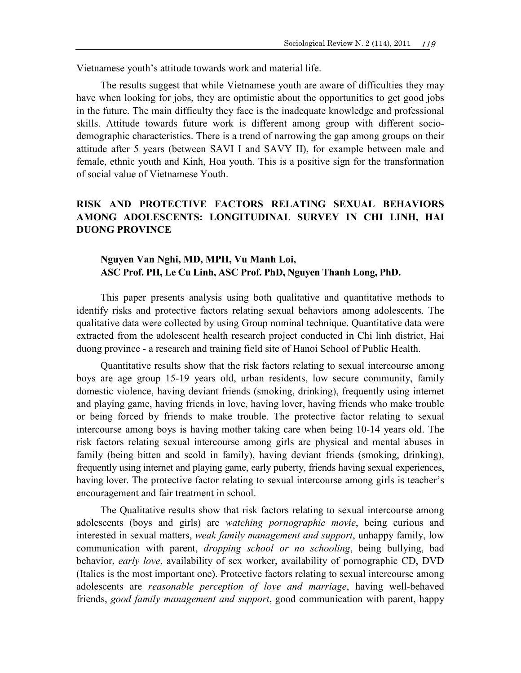Vietnamese youth's attitude towards work and material life.

The results suggest that while Vietnamese youth are aware of difficulties they may have when looking for jobs, they are optimistic about the opportunities to get good jobs in the future. The main difficulty they face is the inadequate knowledge and professional skills. Attitude towards future work is different among group with different sociodemographic characteristics. There is a trend of narrowing the gap among groups on their attitude after 5 years (between SAVI I and SAVY II), for example between male and female, ethnic youth and Kinh, Hoa youth. This is a positive sign for the transformation of social value of Vietnamese Youth.

## **RISK AND PROTECTIVE FACTORS RELATING SEXUAL BEHAVIORS AMONG ADOLESCENTS: LONGITUDINAL SURVEY IN CHI LINH, HAI DUONG PROVINCE**

### **Nguyen Van Nghi, MD, MPH, Vu Manh Loi, ASC Prof. PH, Le Cu Linh, ASC Prof. PhD, Nguyen Thanh Long, PhD.**

This paper presents analysis using both qualitative and quantitative methods to identify risks and protective factors relating sexual behaviors among adolescents. The qualitative data were collected by using Group nominal technique. Quantitative data were extracted from the adolescent health research project conducted in Chi linh district, Hai duong province - a research and training field site of Hanoi School of Public Health.

Quantitative results show that the risk factors relating to sexual intercourse among boys are age group 15-19 years old, urban residents, low secure community, family domestic violence, having deviant friends (smoking, drinking), frequently using internet and playing game, having friends in love, having lover, having friends who make trouble or being forced by friends to make trouble. The protective factor relating to sexual intercourse among boys is having mother taking care when being 10-14 years old. The risk factors relating sexual intercourse among girls are physical and mental abuses in family (being bitten and scold in family), having deviant friends (smoking, drinking), frequently using internet and playing game, early puberty, friends having sexual experiences, having lover. The protective factor relating to sexual intercourse among girls is teacher's encouragement and fair treatment in school.

The Qualitative results show that risk factors relating to sexual intercourse among adolescents (boys and girls) are *watching pornographic movie*, being curious and interested in sexual matters, *weak family management and support*, unhappy family, low communication with parent, *dropping school or no schooling*, being bullying, bad behavior, *early love*, availability of sex worker, availability of pornographic CD, DVD (Italics is the most important one). Protective factors relating to sexual intercourse among adolescents are *reasonable perception of love and marriage*, having well-behaved friends, *good family management and support*, good communication with parent, happy